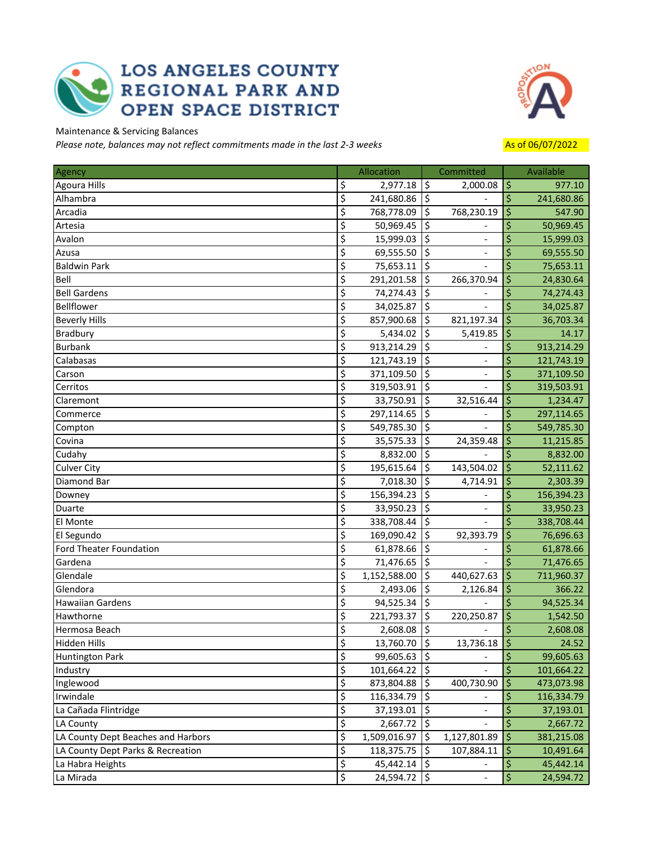## **LOS ANGELES COUNTY** REGIONAL PARK AND<br>OPEN SPACE DISTRICT



Maintenance & Servicing Balances

*Please note, balances may not reflect commitments made in the last 2-3 weeks* Asset Asset As of 06/07/2022

| Agency                             |                                     | Allocation        |                          | Committed      |                        | Available  |
|------------------------------------|-------------------------------------|-------------------|--------------------------|----------------|------------------------|------------|
| <b>Agoura Hills</b>                | \$                                  | 2,977.18          | \$                       | 2,000.08       | $\overline{5}$         | 977.10     |
| Alhambra                           | $\overline{\boldsymbol{\varsigma}}$ | 241,680.86        | ۱\$                      |                | $\ddot{\mathsf{S}}$    | 241,680.86 |
| Arcadia                            | \$                                  | 768,778.09 \$     |                          | 768,230.19     | $\overline{5}$         | 547.90     |
| Artesia                            | \$                                  | 50,969.45         | \$                       |                | \$                     | 50,969.45  |
| Avalon                             | \$                                  | 15,999.03         | \$                       |                | \$                     | 15,999.03  |
| Azusa                              | $\overline{\boldsymbol{\zeta}}$     | 69,555.50         | \$                       |                | \$                     | 69,555.50  |
| <b>Baldwin Park</b>                | \$                                  | 75,653.11         | $\overline{\mathsf{S}}$  |                | \$                     | 75,653.11  |
| Bell                               | \$                                  | 291,201.58        | ۱\$                      | 266,370.94     | \$                     | 24,830.64  |
| <b>Bell Gardens</b>                | \$                                  | 74,274.43         | \$                       |                | \$                     | 74,274.43  |
| Bellflower                         | \$                                  | 34,025.87         | \$                       |                | \$                     | 34,025.87  |
| <b>Beverly Hills</b>               | \$                                  | 857,900.68        | \$                       | 821,197.34     | \$                     | 36,703.34  |
| Bradbury                           | \$                                  | $5,434.02$   \$   |                          | 5,419.85       | ۱\$                    | 14.17      |
| <b>Burbank</b>                     | $\overline{\varsigma}$              | 913,214.29        | İ\$                      |                | \$                     | 913,214.29 |
| Calabasas                          | \$                                  | 121,743.19        | $\overline{\phantom{a}}$ |                | \$                     | 121,743.19 |
| Carson                             | \$                                  | 371,109.50        | l\$                      |                | \$                     | 371,109.50 |
| Cerritos                           | \$                                  | 319,503.91        | l\$                      |                | \$                     | 319,503.91 |
| Claremont                          | $\overline{\varsigma}$              | 33,750.91         | 5                        | 32,516.44      | ۱\$                    | 1,234.47   |
| Commerce                           | \$                                  | 297,114.65        | \$                       |                | \$                     | 297,114.65 |
| Compton                            | \$                                  | 549,785.30        | İ\$                      |                | \$                     | 549,785.30 |
| Covina                             | \$                                  | $35,575.33$ \\$   |                          | 24,359.48      | \$                     | 11,215.85  |
| Cudahy                             | \$                                  | 8,832.00   \$     |                          |                | \$                     | 8,832.00   |
| <b>Culver City</b>                 | $\overline{\boldsymbol{\zeta}}$     | 195,615.64        | İ\$                      | 143,504.02     | l\$                    | 52,111.62  |
| Diamond Bar                        | \$                                  | 7,018.30          | ۱\$                      | 4,714.91       | \$                     | 2,303.39   |
| Downey                             | $\overline{\xi}$                    | 156,394.23        | \$                       |                | \$                     | 156,394.23 |
| Duarte                             | \$                                  | 33,950.23         | \$                       |                | \$                     | 33,950.23  |
| El Monte                           | \$                                  | 338,708.44        | \$                       |                | \$                     | 338,708.44 |
| El Segundo                         | \$                                  | 169,090.42        | \$                       | 92,393.79      | ١\$                    | 76,696.63  |
| Ford Theater Foundation            | \$                                  | 61,878.66         | \$                       |                | \$                     | 61,878.66  |
| Gardena                            | \$                                  | 71,476.65         | \$                       |                | \$                     | 71,476.65  |
| Glendale                           | \$                                  | 1,152,588.00      | ۱\$                      | 440,627.63     | ۱\$                    | 711,960.37 |
| Glendora                           | $\overline{\varsigma}$              | $2,493.06$ 5      |                          | 2,126.84       | l\$                    | 366.22     |
| Hawaiian Gardens                   | \$                                  | 94,525.34         | $\overline{\phantom{a}}$ |                | \$                     | 94,525.34  |
| Hawthorne                          | \$                                  | 221,793.37        | \$                       | 220,250.87     | \$                     | 1,542.50   |
| Hermosa Beach                      | \$                                  | 2,608.08          | \$                       |                | \$                     | 2,608.08   |
| Hidden Hills                       | $\overline{\xi}$                    | $13,760.70$ \$    |                          | $13,736.18$ \$ |                        | 24.52      |
| Huntington Park                    | \$                                  | 99,605.63 \$      |                          |                | \$                     | 99,605.63  |
| Industry                           | \$                                  | $101,664.22$   \$ |                          |                | \$                     | 101,664.22 |
| Inglewood                          | \$                                  | 873,804.88   \$   |                          | 400,730.90     | l\$                    | 473,073.98 |
| Irwindale                          | $\overline{\varsigma}$              | 116,334.79        | \$                       |                | \$                     | 116,334.79 |
| La Cañada Flintridge               | \$                                  | 37,193.01         | İ\$                      |                | \$                     | 37,193.01  |
| LA County                          | \$                                  | 2,667.72          | \$                       |                | $\zeta$                | 2,667.72   |
| LA County Dept Beaches and Harbors | $\overline{\xi}$                    | 1,509,016.97      | \$                       | 1,127,801.89   | ۱\$                    | 381,215.08 |
| LA County Dept Parks & Recreation  | \$                                  | 118,375.75        | \$                       | 107,884.11     | I\$                    | 10,491.64  |
| La Habra Heights                   | \$                                  | $45,442.14$   \$  |                          |                | \$                     | 45,442.14  |
| La Mirada                          | $\overline{\boldsymbol{\zeta}}$     | 24,594.72   \$    |                          |                | $\overline{\varsigma}$ | 24,594.72  |